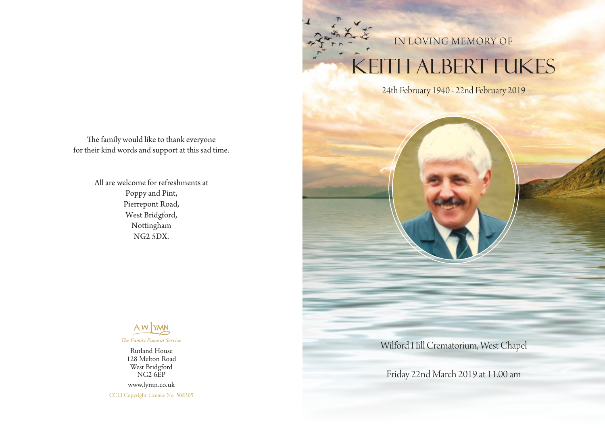## TH ALBERT FUKES IN LOVING MEMORY OF

24th February 1940 - 22nd February 2019

The family would like to thank everyone for their kind words and support at this sad time.

> All are welcome for refreshments at Poppy and Pint, Pierrepont Road, West Bridgford, Nottingham NG2 5DX.



Rutland House 128 Melton Road West Bridgford NG2 6EP www.lymn.co.uk CCLI Copyright Licence No. 508305 Wilford Hill Crematorium, West Chapel

Friday 22nd March 2019 at 11.00 am